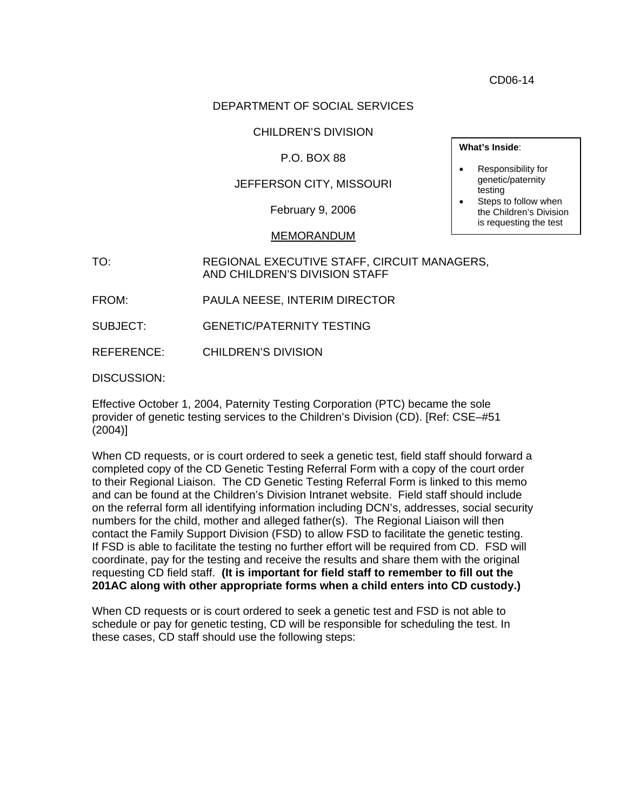CD06-14

## DEPARTMENT OF SOCIAL SERVICES

#### CHILDREN'S DIVISION

#### P.O. BOX 88

#### JEFFERSON CITY, MISSOURI

February 9, 2006

#### MEMORANDUM

TO: REGIONAL EXECUTIVE STAFF, CIRCUIT MANAGERS, AND CHILDREN'S DIVISION STAFF

FROM: PAULA NEESE, INTERIM DIRECTOR

SUBJECT: GENETIC/PATERNITY TESTING

REFERENCE: CHILDREN'S DIVISION

DISCUSSION:

Effective October 1, 2004, Paternity Testing Corporation (PTC) became the sole provider of genetic testing services to the Children's Division (CD). [Ref: CSE–#51 (2004)]

When CD requests, or is court ordered to seek a genetic test, field staff should forward a completed copy of the CD Genetic Testing Referral Form with a copy of the court order to their Regional Liaison. The CD Genetic Testing Referral Form is linked to this memo and can be found at the Children's Division Intranet website. Field staff should include on the referral form all identifying information including DCN's, addresses, social security numbers for the child, mother and alleged father(s). The Regional Liaison will then contact the Family Support Division (FSD) to allow FSD to facilitate the genetic testing. If FSD is able to facilitate the testing no further effort will be required from CD. FSD will coordinate, pay for the testing and receive the results and share them with the original requesting CD field staff. **(It is important for field staff to remember to fill out the 201AC along with other appropriate forms when a child enters into CD custody.)** 

When CD requests or is court ordered to seek a genetic test and FSD is not able to schedule or pay for genetic testing, CD will be responsible for scheduling the test. In these cases, CD staff should use the following steps:

**What's Inside**:

#### • Responsibility for genetic/paternity testing

Steps to follow when the Children's Division is requesting the test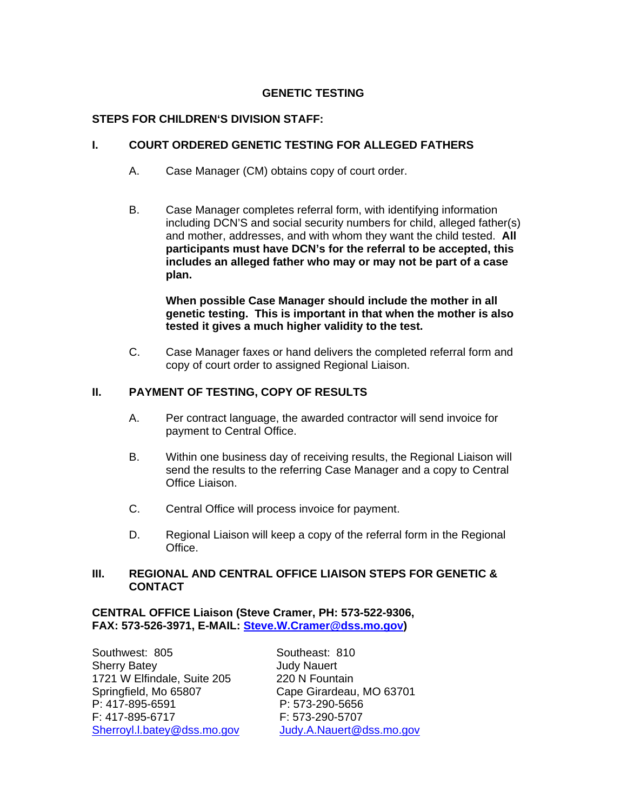# **GENETIC TESTING**

# **STEPS FOR CHILDREN'S DIVISION STAFF:**

# **I. COURT ORDERED GENETIC TESTING FOR ALLEGED FATHERS**

- A. Case Manager (CM) obtains copy of court order.
- B. Case Manager completes referral form, with identifying information including DCN'S and social security numbers for child, alleged father(s) and mother, addresses, and with whom they want the child tested. **All participants must have DCN's for the referral to be accepted, this includes an alleged father who may or may not be part of a case plan.**

**When possible Case Manager should include the mother in all genetic testing. This is important in that when the mother is also tested it gives a much higher validity to the test.** 

C. Case Manager faxes or hand delivers the completed referral form and copy of court order to assigned Regional Liaison.

# **II. PAYMENT OF TESTING, COPY OF RESULTS**

- A. Per contract language, the awarded contractor will send invoice for payment to Central Office.
- B. Within one business day of receiving results, the Regional Liaison will send the results to the referring Case Manager and a copy to Central Office Liaison.
- C. Central Office will process invoice for payment.
- D. Regional Liaison will keep a copy of the referral form in the Regional Office.

# **III. REGIONAL AND CENTRAL OFFICE LIAISON STEPS FOR GENETIC & CONTACT**

**CENTRAL OFFICE Liaison (Steve Cramer, PH: 573-522-9306, FAX: 573-526-3971, E-MAIL: [Steve.W.Cramer@dss.mo.gov](mailto:Steve.W.Cramer@dss.mo.gov))** 

Southwest: 805 Southeast: 810 Sherry Batey **Access 19 and Sherry Batey Judy Nauert** 1721 W Elfindale, Suite 205 220 N Fountain Springfield, Mo 65807 Cape Girardeau, MO 63701<br>P: 417-895-6591 P: 573-290-5656 F: 417-895-6717 F: 573-290-5707

P: 573-290-5656 [Sherroyl.l.batey@dss.mo.gov](mailto:Sherroyl.l.batey@dss.mo.gov) [Judy.A.Nauert@dss.mo.gov](mailto:Judy.A.Nauert@dss.mo.gov)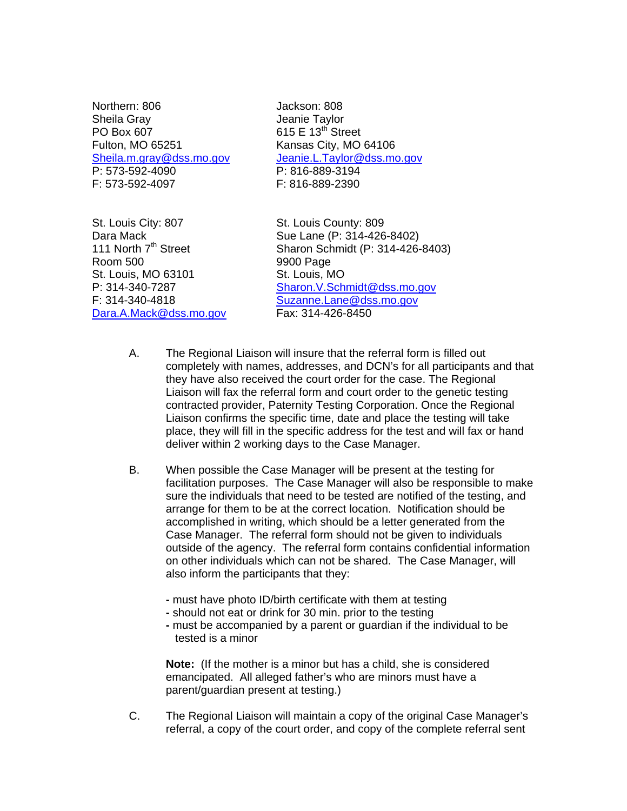Northern: 806 Jackson: 808 Sheila Gray **Sheila Gray Communist Communist Communist Communist Communist Communist Communist Communist Communist Communist Communist Communist Communist Communist Communist Communist Communist Communist Communist Communi** PO Box  $607$  615 E 13<sup>th</sup> Street Fulton, MO 65251 Kansas City, MO 64106 P: 573-592-4090 P: 816-889-3194 F: 573-592-4097 F: 816-889-2390

[Sheila.m.gray@dss.mo.gov](mailto:Sheila.m.gray@dss.mo.gov) [Jeanie.L.Taylor@dss.mo.gov](mailto:Jeanie.L.Taylor@dss.mo.gov)

St. Louis City: 807 St. Louis County: 809 Room 500 9900 Page St. Louis, MO 63101 St. Louis, MO Dara.A.Mack@dss.mo.gov

Dara Mack Sue Lane (P: 314-426-8402)<br>111 North 7<sup>th</sup> Street Sharon Schmidt (P: 314-426-Sharon Schmidt (P: 314-426-8403) P: 314-340-7287 [Sharon.V.Schmidt@dss.mo.gov](mailto:Sharon.V.Schmidt@dss.mo.gov) F: 314-340-4818  $\frac{\text{Suzanne}.\text{Lane} @ \text{dss.mo.gov}}{\text{Dara}.A.\text{Mack} @ \text{dss.mo.gov}}$  Fax: 314-426-8450

- A. The Regional Liaison will insure that the referral form is filled out completely with names, addresses, and DCN's for all participants and that they have also received the court order for the case. The Regional Liaison will fax the referral form and court order to the genetic testing contracted provider, Paternity Testing Corporation. Once the Regional Liaison confirms the specific time, date and place the testing will take place, they will fill in the specific address for the test and will fax or hand deliver within 2 working days to the Case Manager.
- B. When possible the Case Manager will be present at the testing for facilitation purposes. The Case Manager will also be responsible to make sure the individuals that need to be tested are notified of the testing, and arrange for them to be at the correct location. Notification should be accomplished in writing, which should be a letter generated from the Case Manager. The referral form should not be given to individuals outside of the agency. The referral form contains confidential information on other individuals which can not be shared. The Case Manager, will also inform the participants that they:
	- **-** must have photo ID/birth certificate with them at testing
	- should not eat or drink for 30 min. prior to the testing
	- must be accompanied by a parent or guardian if the individual to be tested is a minor

**Note:** (If the mother is a minor but has a child, she is considered emancipated. All alleged father's who are minors must have a parent/guardian present at testing.)

C. The Regional Liaison will maintain a copy of the original Case Manager's referral, a copy of the court order, and copy of the complete referral sent